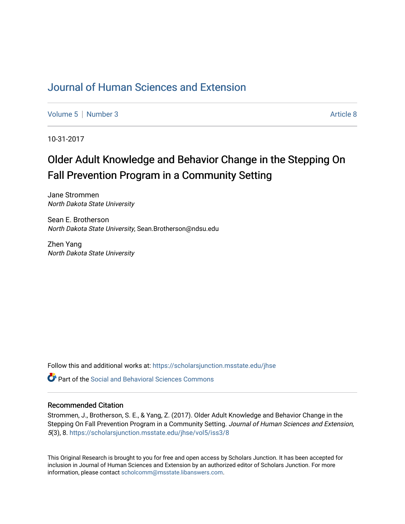# [Journal of Human Sciences and Extension](https://scholarsjunction.msstate.edu/jhse)

[Volume 5](https://scholarsjunction.msstate.edu/jhse/vol5) | [Number 3](https://scholarsjunction.msstate.edu/jhse/vol5/iss3) Article 8

10-31-2017

# Older Adult Knowledge and Behavior Change in the Stepping On Fall Prevention Program in a Community Setting

Jane Strommen North Dakota State University

Sean E. Brotherson North Dakota State University, Sean.Brotherson@ndsu.edu

Zhen Yang North Dakota State University

Follow this and additional works at: [https://scholarsjunction.msstate.edu/jhse](https://scholarsjunction.msstate.edu/jhse?utm_source=scholarsjunction.msstate.edu%2Fjhse%2Fvol5%2Fiss3%2F8&utm_medium=PDF&utm_campaign=PDFCoverPages)

**C** Part of the Social and Behavioral Sciences Commons

#### Recommended Citation

Strommen, J., Brotherson, S. E., & Yang, Z. (2017). Older Adult Knowledge and Behavior Change in the Stepping On Fall Prevention Program in a Community Setting. Journal of Human Sciences and Extension, 5(3), 8. [https://scholarsjunction.msstate.edu/jhse/vol5/iss3/8](https://scholarsjunction.msstate.edu/jhse/vol5/iss3/8?utm_source=scholarsjunction.msstate.edu%2Fjhse%2Fvol5%2Fiss3%2F8&utm_medium=PDF&utm_campaign=PDFCoverPages) 

This Original Research is brought to you for free and open access by Scholars Junction. It has been accepted for inclusion in Journal of Human Sciences and Extension by an authorized editor of Scholars Junction. For more information, please contact [scholcomm@msstate.libanswers.com](mailto:scholcomm@msstate.libanswers.com).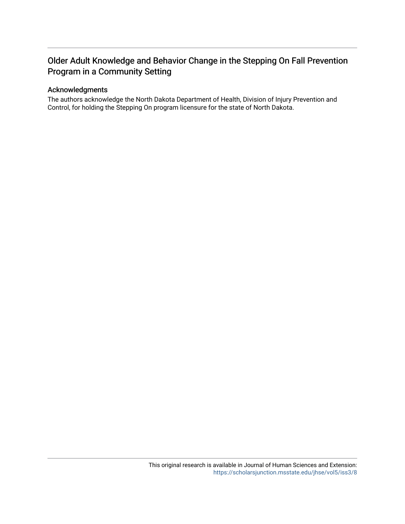# Older Adult Knowledge and Behavior Change in the Stepping On Fall Prevention Program in a Community Setting

#### Acknowledgments

The authors acknowledge the North Dakota Department of Health, Division of Injury Prevention and Control, for holding the Stepping On program licensure for the state of North Dakota.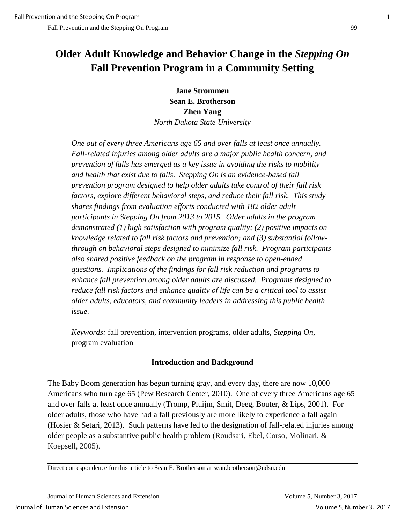# **Older Adult Knowledge and Behavior Change in the** *Stepping On*  **Fall Prevention Program in a Community Setting**

**Jane Strommen Sean E. Brotherson Zhen Yang** *North Dakota State University*

*One out of every three Americans age 65 and over falls at least once annually. Fall-related injuries among older adults are a major public health concern, and prevention of falls has emerged as a key issue in avoiding the risks to mobility and health that exist due to falls. Stepping On is an evidence-based fall prevention program designed to help older adults take control of their fall risk factors, explore different behavioral steps, and reduce their fall risk. This study shares findings from evaluation efforts conducted with 182 older adult participants in Stepping On from 2013 to 2015. Older adults in the program demonstrated (1) high satisfaction with program quality; (2) positive impacts on knowledge related to fall risk factors and prevention; and (3) substantial followthrough on behavioral steps designed to minimize fall risk. Program participants also shared positive feedback on the program in response to open-ended questions. Implications of the findings for fall risk reduction and programs to enhance fall prevention among older adults are discussed. Programs designed to reduce fall risk factors and enhance quality of life can be a critical tool to assist older adults, educators, and community leaders in addressing this public health issue.*

*Keywords:* fall prevention, intervention programs, older adults, *Stepping On,* program evaluation

# **Introduction and Background**

The Baby Boom generation has begun turning gray, and every day, there are now 10,000 Americans who turn age 65 (Pew Research Center, 2010). One of every three Americans age 65 and over falls at least once annually (Tromp, Pluijm, Smit, Deeg, Bouter, & Lips, 2001). For older adults, those who have had a fall previously are more likely to experience a fall again (Hosier & Setari, 2013). Such patterns have led to the designation of fall-related injuries among older people as a substantive public health problem (Roudsari, Ebel, Corso, Molinari, & Koepsell, 2005).

Direct correspondence for this article to Sean E. Brotherson at sean.brotherson@ndsu.edu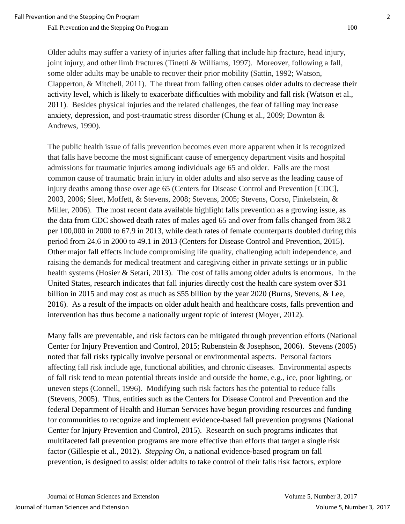Older adults may suffer a variety of injuries after falling that include hip fracture, head injury, joint injury, and other limb fractures (Tinetti & Williams, 1997). Moreover, following a fall, some older adults may be unable to recover their prior mobility (Sattin, 1992; Watson, Clapperton, & Mitchell, 2011). The threat from falling often causes older adults to decrease their activity level, which is likely to exacerbate difficulties with mobility and fall risk (Watson et al., 2011). Besides physical injuries and the related challenges, the fear of falling may increase anxiety, depression, and post-traumatic stress disorder (Chung et al., 2009; Downton & Andrews, 1990).

The public health issue of falls prevention becomes even more apparent when it is recognized that falls have become the most significant cause of emergency department visits and hospital admissions for traumatic injuries among individuals age 65 and older. Falls are the most common cause of traumatic brain injury in older adults and also serve as the leading cause of injury deaths among those over age 65 (Centers for Disease Control and Prevention [CDC], 2003, 2006; Sleet, Moffett, & Stevens, 2008; Stevens, 2005; Stevens, Corso, Finkelstein, & Miller, 2006). The most recent data available highlight falls prevention as a growing issue, as the data from CDC showed death rates of males aged 65 and over from falls changed from 38.2 per 100,000 in 2000 to 67.9 in 2013, while death rates of female counterparts doubled during this period from 24.6 in 2000 to 49.1 in 2013 (Centers for Disease Control and Prevention, 2015). Other major fall effects include compromising life quality, challenging adult independence, and raising the demands for medical treatment and caregiving either in private settings or in public health systems (Hosier & Setari, 2013). The cost of falls among older adults is enormous. In the United States, research indicates that fall injuries directly cost the health care system over \$31 billion in 2015 and may cost as much as \$55 billion by the year 2020 (Burns, Stevens, & Lee, 2016). As a result of the impacts on older adult health and healthcare costs, falls prevention and intervention has thus become a nationally urgent topic of interest (Moyer, 2012).

Many falls are preventable, and risk factors can be mitigated through prevention efforts (National Center for Injury Prevention and Control, 2015; Rubenstein & Josephson, 2006). Stevens (2005) noted that fall risks typically involve personal or environmental aspects. Personal factors affecting fall risk include age, functional abilities, and chronic diseases. Environmental aspects of fall risk tend to mean potential threats inside and outside the home, e.g., ice, poor lighting, or uneven steps (Connell, 1996). Modifying such risk factors has the potential to reduce falls (Stevens, 2005). Thus, entities such as the Centers for Disease Control and Prevention and the federal Department of Health and Human Services have begun providing resources and funding for communities to recognize and implement evidence-based fall prevention programs (National Center for Injury Prevention and Control, 2015). Research on such programs indicates that multifaceted fall prevention programs are more effective than efforts that target a single risk factor (Gillespie et al., 2012). *Stepping On*, a national evidence-based program on fall prevention, is designed to assist older adults to take control of their falls risk factors, explore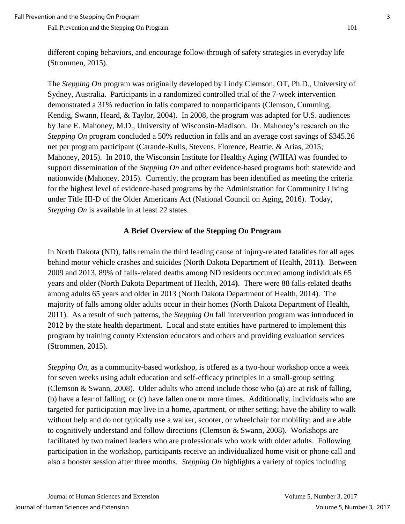different coping behaviors, and encourage follow-through of safety strategies in everyday life (Strommen, 2015).

The *Stepping On* program was originally developed by Lindy Clemson, OT, Ph.D., University of Sydney, Australia. Participants in a randomized controlled trial of the 7-week intervention demonstrated a 31% reduction in falls compared to nonparticipants (Clemson, Cumming, Kendig, Swann, Heard, & Taylor, 2004). In 2008, the program was adapted for U.S. audiences by Jane E. Mahoney, M.D., University of Wisconsin-Madison. Dr. Mahoney's research on the *Stepping On* program concluded a 50% reduction in falls and an average cost savings of \$345.26 net per program participant (Carande-Kulis, Stevens, Florence, Beattie, & Arias, 2015; Mahoney, 2015). In 2010, the Wisconsin Institute for Healthy Aging (WIHA) was founded to support dissemination of the *Stepping On* and other evidence-based programs both statewide and nationwide (Mahoney, 2015). Currently, the program has been identified as meeting the criteria for the highest level of evidence-based programs by the Administration for Community Living under Title III-D of the Older Americans Act (National Council on Aging, 2016). Today, *Stepping On* is available in at least 22 states.

# **A Brief Overview of the Stepping On Program**

In North Dakota (ND), falls remain the third leading cause of injury-related fatalities for all ages behind motor vehicle crashes and suicides (North Dakota Department of Health, 2011**)**. Between 2009 and 2013, 89% of falls-related deaths among ND residents occurred among individuals 65 years and older (North Dakota Department of Health, 2014**)**. There were 88 falls-related deaths among adults 65 years and older in 2013 (North Dakota Department of Health, 2014). The majority of falls among older adults occur in their homes (North Dakota Department of Health, 2011). As a result of such patterns, the *Stepping On* fall intervention program was introduced in 2012 by the state health department. Local and state entities have partnered to implement this program by training county Extension educators and others and providing evaluation services (Strommen, 2015).

*Stepping On*, as a community-based workshop, is offered as a two-hour workshop once a week for seven weeks using adult education and self-efficacy principles in a small-group setting (Clemson & Swann, 2008). Older adults who attend include those who (a) are at risk of falling, (b) have a fear of falling, or (c) have fallen one or more times. Additionally, individuals who are targeted for participation may live in a home, apartment, or other setting; have the ability to walk without help and do not typically use a walker, scooter, or wheelchair for mobility; and are able to cognitively understand and follow directions (Clemson & Swann, 2008). Workshops are facilitated by two trained leaders who are professionals who work with older adults. Following participation in the workshop, participants receive an individualized home visit or phone call and also a booster session after three months. *Stepping On* highlights a variety of topics including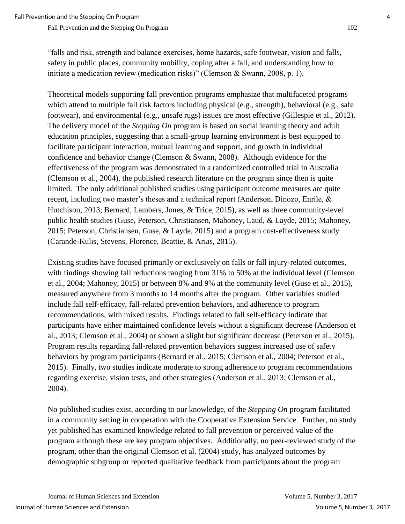"falls and risk, strength and balance exercises, home hazards, safe footwear, vision and falls, safety in public places, community mobility, coping after a fall, and understanding how to initiate a medication review (medication risks)" (Clemson & Swann, 2008, p. 1).

Theoretical models supporting fall prevention programs emphasize that multifaceted programs which attend to multiple fall risk factors including physical (e.g., strength), behavioral (e.g., safe footwear), and environmental (e.g., unsafe rugs) issues are most effective (Gillespie et al., 2012). The delivery model of the *Stepping On* program is based on social learning theory and adult education principles, suggesting that a small-group learning environment is best equipped to facilitate participant interaction, mutual learning and support, and growth in individual confidence and behavior change (Clemson & Swann, 2008). Although evidence for the effectiveness of the program was demonstrated in a randomized controlled trial in Australia (Clemson et al., 2004), the published research literature on the program since then is quite limited. The only additional published studies using participant outcome measures are quite recent, including two master's theses and a technical report (Anderson, Dinozo, Enrile, & Hutchison, 2013; Bernard, Lambers, Jones, & Trice, 2015), as well as three community-level public health studies (Guse, Peterson, Christiansen, Mahoney, Laud, & Layde, 2015; Mahoney, 2015; Peterson, Christiansen, Guse, & Layde, 2015) and a program cost-effectiveness study (Carande-Kulis, Stevens, Florence, Beattie, & Arias, 2015).

Existing studies have focused primarily or exclusively on falls or fall injury-related outcomes, with findings showing fall reductions ranging from 31% to 50% at the individual level (Clemson et al., 2004; Mahoney, 2015) or between 8% and 9% at the community level (Guse et al., 2015), measured anywhere from 3 months to 14 months after the program. Other variables studied include fall self-efficacy, fall-related prevention behaviors, and adherence to program recommendations, with mixed results. Findings related to fall self-efficacy indicate that participants have either maintained confidence levels without a significant decrease (Anderson et al., 2013; Clemson et al., 2004) or shown a slight but significant decrease (Peterson et al., 2015). Program results regarding fall-related prevention behaviors suggest increased use of safety behaviors by program participants (Bernard et al., 2015; Clemson et al., 2004; Peterson et al., 2015). Finally, two studies indicate moderate to strong adherence to program recommendations regarding exercise, vision tests, and other strategies (Anderson et al., 2013; Clemson et al., 2004).

No published studies exist, according to our knowledge, of the *Stepping On* program facilitated in a community setting in cooperation with the Cooperative Extension Service. Further, no study yet published has examined knowledge related to fall prevention or perceived value of the program although these are key program objectives. Additionally, no peer-reviewed study of the program, other than the original Clemson et al. (2004) study, has analyzed outcomes by demographic subgroup or reported qualitative feedback from participants about the program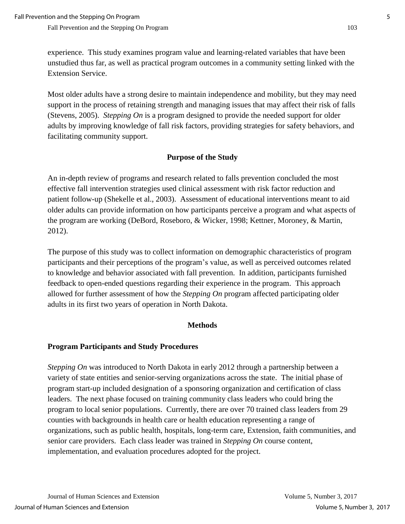experience. This study examines program value and learning-related variables that have been unstudied thus far, as well as practical program outcomes in a community setting linked with the Extension Service.

Most older adults have a strong desire to maintain independence and mobility, but they may need support in the process of retaining strength and managing issues that may affect their risk of falls (Stevens, 2005). *Stepping On* is a program designed to provide the needed support for older adults by improving knowledge of fall risk factors, providing strategies for safety behaviors, and facilitating community support.

#### **Purpose of the Study**

An in-depth review of programs and research related to falls prevention concluded the most effective fall intervention strategies used clinical assessment with risk factor reduction and patient follow-up (Shekelle et al., 2003). Assessment of educational interventions meant to aid older adults can provide information on how participants perceive a program and what aspects of the program are working (DeBord, Roseboro, & Wicker, 1998; Kettner, Moroney, & Martin, 2012).

The purpose of this study was to collect information on demographic characteristics of program participants and their perceptions of the program's value, as well as perceived outcomes related to knowledge and behavior associated with fall prevention. In addition, participants furnished feedback to open-ended questions regarding their experience in the program. This approach allowed for further assessment of how the *Stepping On* program affected participating older adults in its first two years of operation in North Dakota.

#### **Methods**

#### **Program Participants and Study Procedures**

*Stepping On* was introduced to North Dakota in early 2012 through a partnership between a variety of state entities and senior-serving organizations across the state. The initial phase of program start-up included designation of a sponsoring organization and certification of class leaders. The next phase focused on training community class leaders who could bring the program to local senior populations. Currently, there are over 70 trained class leaders from 29 counties with backgrounds in health care or health education representing a range of organizations, such as public health, hospitals, long-term care, Extension, faith communities, and senior care providers. Each class leader was trained in *Stepping On* course content, implementation, and evaluation procedures adopted for the project.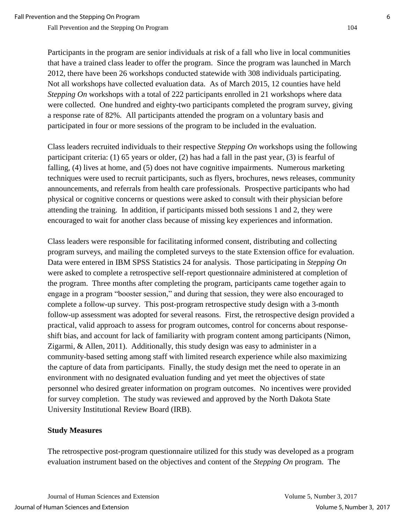Participants in the program are senior individuals at risk of a fall who live in local communities that have a trained class leader to offer the program. Since the program was launched in March 2012, there have been 26 workshops conducted statewide with 308 individuals participating. Not all workshops have collected evaluation data. As of March 2015, 12 counties have held *Stepping On* workshops with a total of 222 participants enrolled in 21 workshops where data were collected. One hundred and eighty-two participants completed the program survey, giving a response rate of 82%. All participants attended the program on a voluntary basis and participated in four or more sessions of the program to be included in the evaluation.

Class leaders recruited individuals to their respective *Stepping On* workshops using the following participant criteria: (1) 65 years or older, (2) has had a fall in the past year, (3) is fearful of falling, (4) lives at home, and (5) does not have cognitive impairments. Numerous marketing techniques were used to recruit participants, such as flyers, brochures, news releases, community announcements, and referrals from health care professionals. Prospective participants who had physical or cognitive concerns or questions were asked to consult with their physician before attending the training. In addition, if participants missed both sessions 1 and 2, they were encouraged to wait for another class because of missing key experiences and information.

Class leaders were responsible for facilitating informed consent, distributing and collecting program surveys, and mailing the completed surveys to the state Extension office for evaluation. Data were entered in IBM SPSS Statistics 24 for analysis. Those participating in *Stepping On*  were asked to complete a retrospective self-report questionnaire administered at completion of the program. Three months after completing the program, participants came together again to engage in a program "booster session," and during that session, they were also encouraged to complete a follow-up survey. This post-program retrospective study design with a 3-month follow-up assessment was adopted for several reasons. First, the retrospective design provided a practical, valid approach to assess for program outcomes, control for concerns about responseshift bias, and account for lack of familiarity with program content among participants (Nimon, Zigarmi, & Allen, 2011). Additionally, this study design was easy to administer in a community-based setting among staff with limited research experience while also maximizing the capture of data from participants. Finally, the study design met the need to operate in an environment with no designated evaluation funding and yet meet the objectives of state personnel who desired greater information on program outcomes. No incentives were provided for survey completion. The study was reviewed and approved by the North Dakota State University Institutional Review Board (IRB).

#### **Study Measures**

The retrospective post-program questionnaire utilized for this study was developed as a program evaluation instrument based on the objectives and content of the *Stepping On* program. The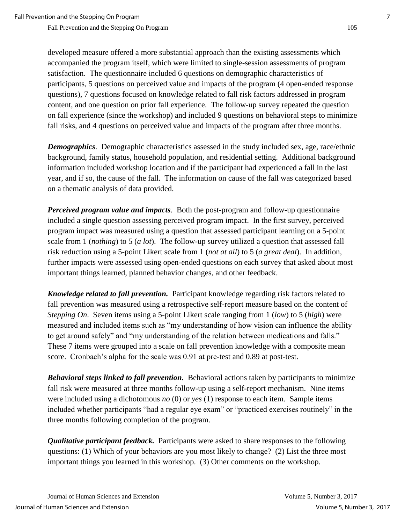developed measure offered a more substantial approach than the existing assessments which accompanied the program itself, which were limited to single-session assessments of program satisfaction. The questionnaire included 6 questions on demographic characteristics of participants, 5 questions on perceived value and impacts of the program (4 open-ended response questions), 7 questions focused on knowledge related to fall risk factors addressed in program content, and one question on prior fall experience. The follow-up survey repeated the question on fall experience (since the workshop) and included 9 questions on behavioral steps to minimize fall risks, and 4 questions on perceived value and impacts of the program after three months.

*Demographics*. Demographic characteristics assessed in the study included sex, age, race/ethnic background, family status, household population, and residential setting. Additional background information included workshop location and if the participant had experienced a fall in the last year, and if so, the cause of the fall. The information on cause of the fall was categorized based on a thematic analysis of data provided.

*Perceived program value and impacts.* Both the post-program and follow-up questionnaire included a single question assessing perceived program impact. In the first survey, perceived program impact was measured using a question that assessed participant learning on a 5-point scale from 1 (*nothing*) to 5 (*a lot*). The follow-up survey utilized a question that assessed fall risk reduction using a 5-point Likert scale from 1 (*not at all*) to 5 (*a great deal*). In addition, further impacts were assessed using open-ended questions on each survey that asked about most important things learned, planned behavior changes, and other feedback.

*Knowledge related to fall prevention.* Participant knowledge regarding risk factors related to fall prevention was measured using a retrospective self-report measure based on the content of *Stepping On*. Seven items using a 5-point Likert scale ranging from 1 (*low*) to 5 (*high*) were measured and included items such as "my understanding of how vision can influence the ability to get around safely" and "my understanding of the relation between medications and falls." These 7 items were grouped into a scale on fall prevention knowledge with a composite mean score. Cronbach's alpha for the scale was 0.91 at pre-test and 0.89 at post-test.

*Behavioral steps linked to fall prevention.* Behavioral actions taken by participants to minimize fall risk were measured at three months follow-up using a self-report mechanism. Nine items were included using a dichotomous *no* (0) or *yes* (1) response to each item. Sample items included whether participants "had a regular eye exam" or "practiced exercises routinely" in the three months following completion of the program.

*Qualitative participant feedback.* Participants were asked to share responses to the following questions: (1) Which of your behaviors are you most likely to change? (2) List the three most important things you learned in this workshop. (3) Other comments on the workshop.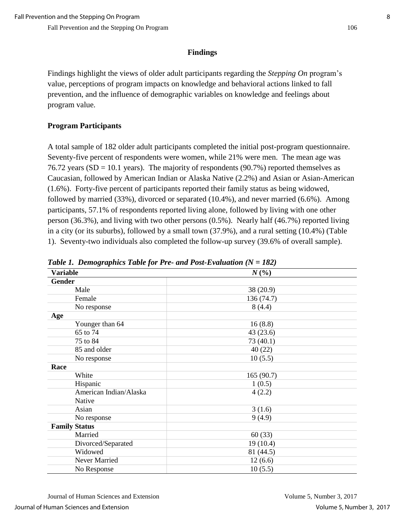# **Findings**

Findings highlight the views of older adult participants regarding the *Stepping On* program's value, perceptions of program impacts on knowledge and behavioral actions linked to fall prevention, and the influence of demographic variables on knowledge and feelings about program value.

# **Program Participants**

A total sample of 182 older adult participants completed the initial post-program questionnaire. Seventy-five percent of respondents were women, while 21% were men. The mean age was 76.72 years (SD = 10.1 years). The majority of respondents (90.7%) reported themselves as Caucasian, followed by American Indian or Alaska Native (2.2%) and Asian or Asian-American (1.6%). Forty-five percent of participants reported their family status as being widowed, followed by married (33%), divorced or separated (10.4%), and never married (6.6%). Among participants, 57.1% of respondents reported living alone, followed by living with one other person (36.3%), and living with two other persons (0.5%). Nearly half (46.7%) reported living in a city (or its suburbs), followed by a small town (37.9%), and a rural setting (10.4%) (Table 1). Seventy-two individuals also completed the follow-up survey (39.6% of overall sample).

| <b>Variable</b>        | $N\left(\frac{6}{6}\right)$ |
|------------------------|-----------------------------|
| <b>Gender</b>          |                             |
| Male                   | 38 (20.9)                   |
| Female                 | 136 (74.7)                  |
| No response            | 8(4.4)                      |
| Age                    |                             |
| Younger than 64        | 16(8.8)                     |
| 65 to 74               | 43(23.6)                    |
| 75 to 84               | 73 (40.1)                   |
| 85 and older           | 40(22)                      |
| No response            | 10(5.5)                     |
| Race                   |                             |
| White                  | 165(90.7)                   |
| Hispanic               | 1(0.5)                      |
| American Indian/Alaska | 4(2.2)                      |
| Native                 |                             |
| Asian                  | 3(1.6)                      |
| No response            | 9(4.9)                      |
| <b>Family Status</b>   |                             |
| Married                | 60(33)                      |
| Divorced/Separated     | 19 (10.4)                   |
| Widowed                | 81 (44.5)                   |
| Never Married          | 12(6.6)                     |
| No Response            | 10(5.5)                     |

*Table 1. Demographics Table for Pre- and Post-Evaluation (N = 182)*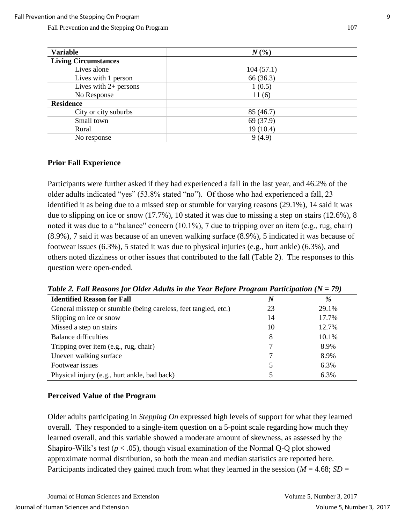| <b>Variable</b>             | $N($ %)   |
|-----------------------------|-----------|
| <b>Living Circumstances</b> |           |
| Lives alone                 | 104(57.1) |
| Lives with 1 person         | 66 (36.3) |
| Lives with $2+$ persons     | 1(0.5)    |
| No Response                 | 11(6)     |
| <b>Residence</b>            |           |
| City or city suburbs        | 85 (46.7) |
| Small town                  | 69 (37.9) |
| Rural                       | 19(10.4)  |
| No response                 | 9(4.9)    |

#### **Prior Fall Experience**

Participants were further asked if they had experienced a fall in the last year, and 46.2% of the older adults indicated "yes" (53.8% stated "no"). Of those who had experienced a fall, 23 identified it as being due to a missed step or stumble for varying reasons (29.1%), 14 said it was due to slipping on ice or snow (17.7%), 10 stated it was due to missing a step on stairs (12.6%), 8 noted it was due to a "balance" concern (10.1%), 7 due to tripping over an item (e.g., rug, chair) (8.9%), 7 said it was because of an uneven walking surface (8.9%), 5 indicated it was because of footwear issues (6.3%), 5 stated it was due to physical injuries (e.g., hurt ankle) (6.3%), and others noted dizziness or other issues that contributed to the fall (Table 2). The responses to this question were open-ended.

| <b>Identified Reason for Fall</b>                               | $\boldsymbol{N}$ | $\%$  |
|-----------------------------------------------------------------|------------------|-------|
| General misstep or stumble (being careless, feet tangled, etc.) | 23               | 29.1% |
| Slipping on ice or snow                                         | 14               | 17.7% |
| Missed a step on stairs                                         | 10               | 12.7% |
| <b>Balance difficulties</b>                                     | 8                | 10.1% |
| Tripping over item (e.g., rug, chair)                           |                  | 8.9%  |
| Uneven walking surface                                          |                  | 8.9%  |
| Footwear issues                                                 |                  | 6.3%  |
| Physical injury (e.g., hurt ankle, bad back)                    |                  | 6.3%  |

*Table 2. Fall Reasons for Older Adults in the Year Before Program Participation (N = 79)*

#### **Perceived Value of the Program**

Older adults participating in *Stepping On* expressed high levels of support for what they learned overall. They responded to a single-item question on a 5-point scale regarding how much they learned overall, and this variable showed a moderate amount of skewness, as assessed by the Shapiro-Wilk's test  $(p < .05)$ , though visual examination of the Normal Q-Q plot showed approximate normal distribution, so both the mean and median statistics are reported here. Participants indicated they gained much from what they learned in the session ( $M = 4.68$ ;  $SD =$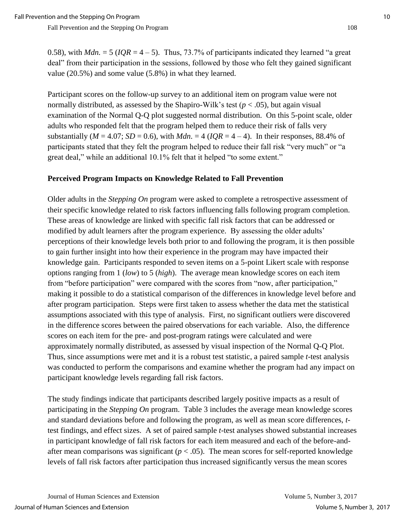0.58), with  $Mdn = 5$  ( $IQR = 4-5$ ). Thus, 73.7% of participants indicated they learned "a great deal" from their participation in the sessions, followed by those who felt they gained significant value (20.5%) and some value (5.8%) in what they learned.

Participant scores on the follow-up survey to an additional item on program value were not normally distributed, as assessed by the Shapiro-Wilk's test ( $p < .05$ ), but again visual examination of the Normal Q-Q plot suggested normal distribution. On this 5-point scale, older adults who responded felt that the program helped them to reduce their risk of falls very substantially ( $M = 4.07$ ;  $SD = 0.6$ ), with  $Mdn = 4$  ( $IQR = 4 - 4$ ). In their responses, 88.4% of participants stated that they felt the program helped to reduce their fall risk "very much" or "a great deal," while an additional 10.1% felt that it helped "to some extent."

#### **Perceived Program Impacts on Knowledge Related to Fall Prevention**

Older adults in the *Stepping On* program were asked to complete a retrospective assessment of their specific knowledge related to risk factors influencing falls following program completion. These areas of knowledge are linked with specific fall risk factors that can be addressed or modified by adult learners after the program experience. By assessing the older adults' perceptions of their knowledge levels both prior to and following the program, it is then possible to gain further insight into how their experience in the program may have impacted their knowledge gain. Participants responded to seven items on a 5-point Likert scale with response options ranging from 1 (*low*) to 5 (*high*). The average mean knowledge scores on each item from "before participation" were compared with the scores from "now, after participation," making it possible to do a statistical comparison of the differences in knowledge level before and after program participation. Steps were first taken to assess whether the data met the statistical assumptions associated with this type of analysis. First, no significant outliers were discovered in the difference scores between the paired observations for each variable. Also, the difference scores on each item for the pre- and post-program ratings were calculated and were approximately normally distributed, as assessed by visual inspection of the Normal Q-Q Plot. Thus, since assumptions were met and it is a robust test statistic, a paired sample *t*-test analysis was conducted to perform the comparisons and examine whether the program had any impact on participant knowledge levels regarding fall risk factors.

The study findings indicate that participants described largely positive impacts as a result of participating in the *Stepping On* program. Table 3 includes the average mean knowledge scores and standard deviations before and following the program, as well as mean score differences, *t*test findings, and effect sizes. A set of paired sample *t*-test analyses showed substantial increases in participant knowledge of fall risk factors for each item measured and each of the before-andafter mean comparisons was significant ( $p < .05$ ). The mean scores for self-reported knowledge levels of fall risk factors after participation thus increased significantly versus the mean scores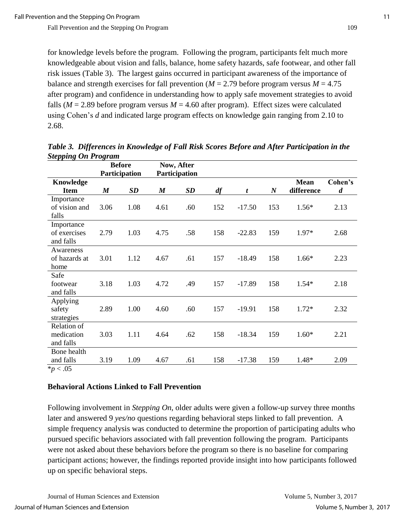for knowledge levels before the program. Following the program, participants felt much more knowledgeable about vision and falls, balance, home safety hazards, safe footwear, and other fall risk issues (Table 3). The largest gains occurred in participant awareness of the importance of balance and strength exercises for fall prevention ( $M = 2.79$  before program versus  $M = 4.75$ after program) and confidence in understanding how to apply safe movement strategies to avoid falls ( $M = 2.89$  before program versus  $M = 4.60$  after program). Effect sizes were calculated using Cohen's *d* and indicated large program effects on knowledge gain ranging from 2.10 to 2.68.

|                                                              | o<br><b>Before</b><br>Participation |      | Now, After<br>Participation |           |     |          |                  |                           |                             |
|--------------------------------------------------------------|-------------------------------------|------|-----------------------------|-----------|-----|----------|------------------|---------------------------|-----------------------------|
| <b>Knowledge</b><br><b>Item</b>                              | $\boldsymbol{M}$                    | SD   | $\boldsymbol{M}$            | <b>SD</b> | df  | t        | $\boldsymbol{N}$ | <b>Mean</b><br>difference | Cohen's<br>$\boldsymbol{d}$ |
| Importance<br>of vision and<br>falls                         | 3.06                                | 1.08 | 4.61                        | .60       | 152 | $-17.50$ | 153              | $1.56*$                   | 2.13                        |
| Importance<br>of exercises<br>and falls                      | 2.79                                | 1.03 | 4.75                        | .58       | 158 | $-22.83$ | 159              | $1.97*$                   | 2.68                        |
| Awareness<br>of hazards at<br>home                           | 3.01                                | 1.12 | 4.67                        | .61       | 157 | $-18.49$ | 158              | $1.66*$                   | 2.23                        |
| Safe<br>footwear<br>and falls                                | 3.18                                | 1.03 | 4.72                        | .49       | 157 | $-17.89$ | 158              | $1.54*$                   | 2.18                        |
| Applying<br>safety<br>strategies                             | 2.89                                | 1.00 | 4.60                        | .60       | 157 | $-19.91$ | 158              | $1.72*$                   | 2.32                        |
| Relation of<br>medication<br>and falls                       | 3.03                                | 1.11 | 4.64                        | .62       | 158 | $-18.34$ | 159              | $1.60*$                   | 2.21                        |
| Bone health<br>and falls<br>$\lambda = \lambda \Delta \zeta$ | 3.19                                | 1.09 | 4.67                        | .61       | 158 | $-17.38$ | 159              | 1.48*                     | 2.09                        |

*Table 3. Differences in Knowledge of Fall Risk Scores Before and After Participation in the Stepping On Program*

\**p* < .05

# **Behavioral Actions Linked to Fall Prevention**

Following involvement in *Stepping On*, older adults were given a follow-up survey three months later and answered 9 *yes/no* questions regarding behavioral steps linked to fall prevention. A simple frequency analysis was conducted to determine the proportion of participating adults who pursued specific behaviors associated with fall prevention following the program. Participants were not asked about these behaviors before the program so there is no baseline for comparing participant actions; however, the findings reported provide insight into how participants followed up on specific behavioral steps.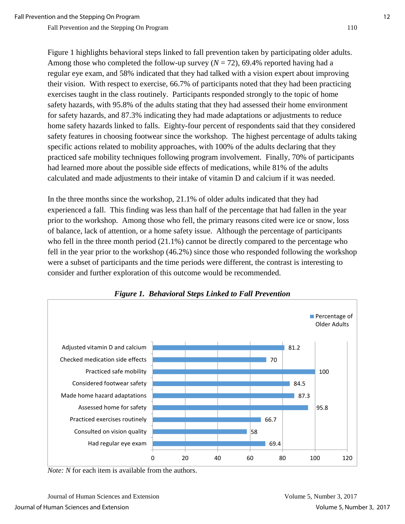Figure 1 highlights behavioral steps linked to fall prevention taken by participating older adults. Among those who completed the follow-up survey  $(N = 72)$ , 69.4% reported having had a regular eye exam, and 58% indicated that they had talked with a vision expert about improving their vision. With respect to exercise, 66.7% of participants noted that they had been practicing exercises taught in the class routinely. Participants responded strongly to the topic of home safety hazards, with 95.8% of the adults stating that they had assessed their home environment for safety hazards, and 87.3% indicating they had made adaptations or adjustments to reduce home safety hazards linked to falls. Eighty-four percent of respondents said that they considered safety features in choosing footwear since the workshop. The highest percentage of adults taking specific actions related to mobility approaches, with 100% of the adults declaring that they practiced safe mobility techniques following program involvement. Finally, 70% of participants had learned more about the possible side effects of medications, while 81% of the adults calculated and made adjustments to their intake of vitamin D and calcium if it was needed.

In the three months since the workshop, 21.1% of older adults indicated that they had experienced a fall. This finding was less than half of the percentage that had fallen in the year prior to the workshop. Among those who fell, the primary reasons cited were ice or snow, loss of balance, lack of attention, or a home safety issue. Although the percentage of participants who fell in the three month period (21.1%) cannot be directly compared to the percentage who fell in the year prior to the workshop (46.2%) since those who responded following the workshop were a subset of participants and the time periods were different, the contrast is interesting to consider and further exploration of this outcome would be recommended.



#### *Figure 1. Behavioral Steps Linked to Fall Prevention*

*Note: N* for each item is available from the authors.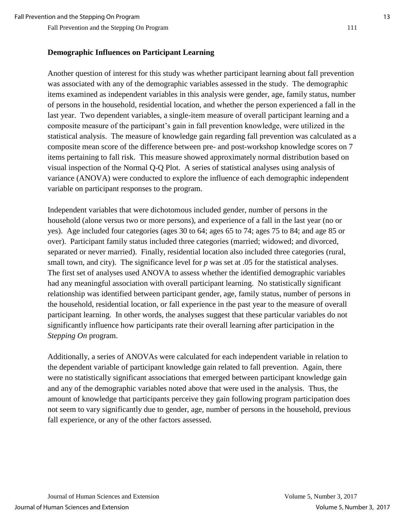#### **Demographic Influences on Participant Learning**

Another question of interest for this study was whether participant learning about fall prevention was associated with any of the demographic variables assessed in the study. The demographic items examined as independent variables in this analysis were gender, age, family status, number of persons in the household, residential location, and whether the person experienced a fall in the last year. Two dependent variables, a single-item measure of overall participant learning and a composite measure of the participant's gain in fall prevention knowledge, were utilized in the statistical analysis. The measure of knowledge gain regarding fall prevention was calculated as a composite mean score of the difference between pre- and post-workshop knowledge scores on 7 items pertaining to fall risk. This measure showed approximately normal distribution based on visual inspection of the Normal Q-Q Plot. A series of statistical analyses using analysis of variance (ANOVA) were conducted to explore the influence of each demographic independent variable on participant responses to the program.

Independent variables that were dichotomous included gender, number of persons in the household (alone versus two or more persons), and experience of a fall in the last year (no or yes). Age included four categories (ages 30 to 64; ages 65 to 74; ages 75 to 84; and age 85 or over). Participant family status included three categories (married; widowed; and divorced, separated or never married). Finally, residential location also included three categories (rural, small town, and city). The significance level for *p* was set at .05 for the statistical analyses. The first set of analyses used ANOVA to assess whether the identified demographic variables had any meaningful association with overall participant learning. No statistically significant relationship was identified between participant gender, age, family status, number of persons in the household, residential location, or fall experience in the past year to the measure of overall participant learning. In other words, the analyses suggest that these particular variables do not significantly influence how participants rate their overall learning after participation in the *Stepping On* program.

Additionally, a series of ANOVAs were calculated for each independent variable in relation to the dependent variable of participant knowledge gain related to fall prevention. Again, there were no statistically significant associations that emerged between participant knowledge gain and any of the demographic variables noted above that were used in the analysis. Thus, the amount of knowledge that participants perceive they gain following program participation does not seem to vary significantly due to gender, age, number of persons in the household, previous fall experience, or any of the other factors assessed.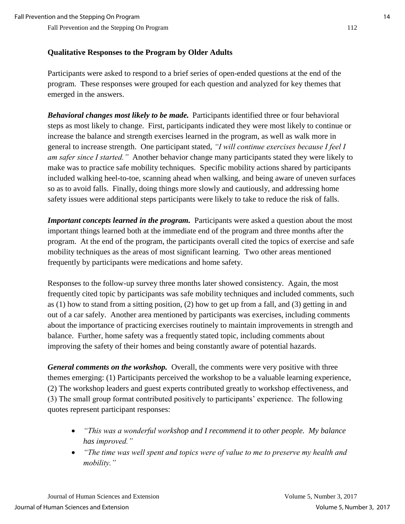### **Qualitative Responses to the Program by Older Adults**

Participants were asked to respond to a brief series of open-ended questions at the end of the program. These responses were grouped for each question and analyzed for key themes that emerged in the answers.

*Behavioral changes most likely to be made.* Participants identified three or four behavioral steps as most likely to change. First, participants indicated they were most likely to continue or increase the balance and strength exercises learned in the program, as well as walk more in general to increase strength. One participant stated, *"I will continue exercises because I feel I am safer since I started."* Another behavior change many participants stated they were likely to make was to practice safe mobility techniques. Specific mobility actions shared by participants included walking heel-to-toe, scanning ahead when walking, and being aware of uneven surfaces so as to avoid falls. Finally, doing things more slowly and cautiously, and addressing home safety issues were additional steps participants were likely to take to reduce the risk of falls.

*Important concepts learned in the program.* Participants were asked a question about the most important things learned both at the immediate end of the program and three months after the program. At the end of the program, the participants overall cited the topics of exercise and safe mobility techniques as the areas of most significant learning. Two other areas mentioned frequently by participants were medications and home safety.

Responses to the follow-up survey three months later showed consistency. Again, the most frequently cited topic by participants was safe mobility techniques and included comments, such as (1) how to stand from a sitting position, (2) how to get up from a fall, and (3) getting in and out of a car safely. Another area mentioned by participants was exercises, including comments about the importance of practicing exercises routinely to maintain improvements in strength and balance. Further, home safety was a frequently stated topic, including comments about improving the safety of their homes and being constantly aware of potential hazards.

*General comments on the workshop.* Overall, the comments were very positive with three themes emerging: (1) Participants perceived the workshop to be a valuable learning experience, (2) The workshop leaders and guest experts contributed greatly to workshop effectiveness, and (3) The small group format contributed positively to participants' experience. The following quotes represent participant responses:

- *"This was a wonderful workshop and I recommend it to other people. My balance has improved."*
- *"The time was well spent and topics were of value to me to preserve my health and mobility."*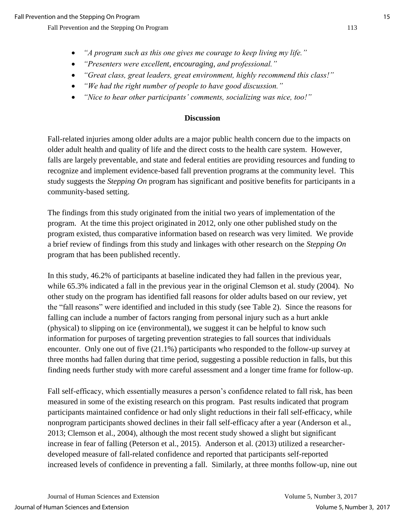- *"A program such as this one gives me courage to keep living my life."*
- *"Presenters were excellent, encouraging, and professional."*
- *"Great class, great leaders, great environment, highly recommend this class!"*
- *"We had the right number of people to have good discussion."*
- *"Nice to hear other participants' comments, socializing was nice, too!"*

### **Discussion**

Fall-related injuries among older adults are a major public health concern due to the impacts on older adult health and quality of life and the direct costs to the health care system. However, falls are largely preventable, and state and federal entities are providing resources and funding to recognize and implement evidence-based fall prevention programs at the community level. This study suggests the *Stepping On* program has significant and positive benefits for participants in a community-based setting.

The findings from this study originated from the initial two years of implementation of the program. At the time this project originated in 2012, only one other published study on the program existed, thus comparative information based on research was very limited. We provide a brief review of findings from this study and linkages with other research on the *Stepping On*  program that has been published recently.

In this study, 46.2% of participants at baseline indicated they had fallen in the previous year, while 65.3% indicated a fall in the previous year in the original Clemson et al. study (2004). No other study on the program has identified fall reasons for older adults based on our review, yet the "fall reasons" were identified and included in this study (see Table 2). Since the reasons for falling can include a number of factors ranging from personal injury such as a hurt ankle (physical) to slipping on ice (environmental), we suggest it can be helpful to know such information for purposes of targeting prevention strategies to fall sources that individuals encounter. Only one out of five (21.1%) participants who responded to the follow-up survey at three months had fallen during that time period, suggesting a possible reduction in falls, but this finding needs further study with more careful assessment and a longer time frame for follow-up.

Fall self-efficacy, which essentially measures a person's confidence related to fall risk, has been measured in some of the existing research on this program. Past results indicated that program participants maintained confidence or had only slight reductions in their fall self-efficacy, while nonprogram participants showed declines in their fall self-efficacy after a year (Anderson et al., 2013; Clemson et al., 2004), although the most recent study showed a slight but significant increase in fear of falling (Peterson et al., 2015). Anderson et al. (2013) utilized a researcherdeveloped measure of fall-related confidence and reported that participants self-reported increased levels of confidence in preventing a fall. Similarly, at three months follow-up, nine out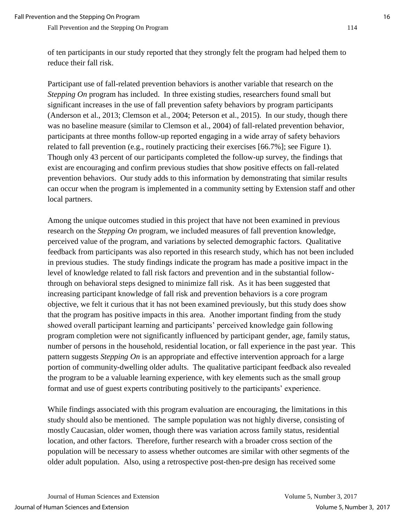of ten participants in our study reported that they strongly felt the program had helped them to reduce their fall risk.

Participant use of fall-related prevention behaviors is another variable that research on the *Stepping On* program has included. In three existing studies, researchers found small but significant increases in the use of fall prevention safety behaviors by program participants (Anderson et al., 2013; Clemson et al., 2004; Peterson et al., 2015). In our study, though there was no baseline measure (similar to Clemson et al., 2004) of fall-related prevention behavior, participants at three months follow-up reported engaging in a wide array of safety behaviors related to fall prevention (e.g., routinely practicing their exercises [66.7%]; see Figure 1). Though only 43 percent of our participants completed the follow-up survey, the findings that exist are encouraging and confirm previous studies that show positive effects on fall-related prevention behaviors. Our study adds to this information by demonstrating that similar results can occur when the program is implemented in a community setting by Extension staff and other local partners.

Among the unique outcomes studied in this project that have not been examined in previous research on the *Stepping On* program, we included measures of fall prevention knowledge, perceived value of the program, and variations by selected demographic factors. Qualitative feedback from participants was also reported in this research study, which has not been included in previous studies. The study findings indicate the program has made a positive impact in the level of knowledge related to fall risk factors and prevention and in the substantial followthrough on behavioral steps designed to minimize fall risk. As it has been suggested that increasing participant knowledge of fall risk and prevention behaviors is a core program objective, we felt it curious that it has not been examined previously, but this study does show that the program has positive impacts in this area. Another important finding from the study showed overall participant learning and participants' perceived knowledge gain following program completion were not significantly influenced by participant gender, age, family status, number of persons in the household, residential location, or fall experience in the past year. This pattern suggests *Stepping On* is an appropriate and effective intervention approach for a large portion of community-dwelling older adults. The qualitative participant feedback also revealed the program to be a valuable learning experience, with key elements such as the small group format and use of guest experts contributing positively to the participants' experience.

While findings associated with this program evaluation are encouraging, the limitations in this study should also be mentioned. The sample population was not highly diverse, consisting of mostly Caucasian, older women, though there was variation across family status, residential location, and other factors. Therefore, further research with a broader cross section of the population will be necessary to assess whether outcomes are similar with other segments of the older adult population. Also, using a retrospective post-then-pre design has received some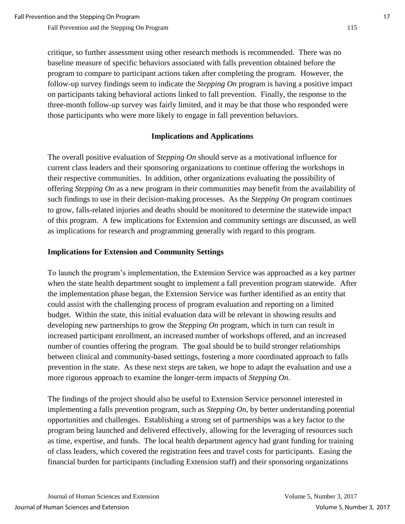critique, so further assessment using other research methods is recommended. There was no baseline measure of specific behaviors associated with falls prevention obtained before the program to compare to participant actions taken after completing the program. However, the follow-up survey findings seem to indicate the *Stepping On* program is having a positive impact on participants taking behavioral actions linked to fall prevention. Finally, the response to the three-month follow-up survey was fairly limited, and it may be that those who responded were those participants who were more likely to engage in fall prevention behaviors.

# **Implications and Applications**

The overall positive evaluation of *Stepping On* should serve as a motivational influence for current class leaders and their sponsoring organizations to continue offering the workshops in their respective communities. In addition, other organizations evaluating the possibility of offering *Stepping On* as a new program in their communities may benefit from the availability of such findings to use in their decision-making processes. As the *Stepping On* program continues to grow, falls-related injuries and deaths should be monitored to determine the statewide impact of this program. A few implications for Extension and community settings are discussed, as well as implications for research and programming generally with regard to this program.

# **Implications for Extension and Community Settings**

To launch the program's implementation, the Extension Service was approached as a key partner when the state health department sought to implement a fall prevention program statewide. After the implementation phase began, the Extension Service was further identified as an entity that could assist with the challenging process of program evaluation and reporting on a limited budget. Within the state, this initial evaluation data will be relevant in showing results and developing new partnerships to grow the *Stepping On* program, which in turn can result in increased participant enrollment, an increased number of workshops offered, and an increased number of counties offering the program. The goal should be to build stronger relationships between clinical and community-based settings, fostering a more coordinated approach to falls prevention in the state. As these next steps are taken, we hope to adapt the evaluation and use a more rigorous approach to examine the longer-term impacts of *Stepping On*.

The findings of the project should also be useful to Extension Service personnel interested in implementing a falls prevention program, such as *Stepping On*, by better understanding potential opportunities and challenges. Establishing a strong set of partnerships was a key factor to the program being launched and delivered effectively, allowing for the leveraging of resources such as time, expertise, and funds. The local health department agency had grant funding for training of class leaders, which covered the registration fees and travel costs for participants. Easing the financial burden for participants (including Extension staff) and their sponsoring organizations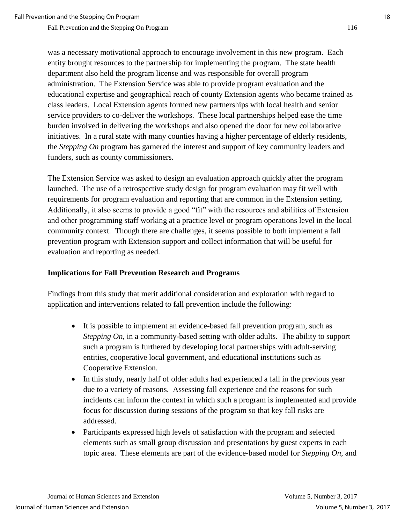was a necessary motivational approach to encourage involvement in this new program. Each entity brought resources to the partnership for implementing the program. The state health department also held the program license and was responsible for overall program administration. The Extension Service was able to provide program evaluation and the educational expertise and geographical reach of county Extension agents who became trained as class leaders. Local Extension agents formed new partnerships with local health and senior service providers to co-deliver the workshops. These local partnerships helped ease the time burden involved in delivering the workshops and also opened the door for new collaborative initiatives. In a rural state with many counties having a higher percentage of elderly residents, the *Stepping On* program has garnered the interest and support of key community leaders and funders, such as county commissioners.

The Extension Service was asked to design an evaluation approach quickly after the program launched. The use of a retrospective study design for program evaluation may fit well with requirements for program evaluation and reporting that are common in the Extension setting. Additionally, it also seems to provide a good "fit" with the resources and abilities of Extension and other programming staff working at a practice level or program operations level in the local community context. Though there are challenges, it seems possible to both implement a fall prevention program with Extension support and collect information that will be useful for evaluation and reporting as needed.

#### **Implications for Fall Prevention Research and Programs**

Findings from this study that merit additional consideration and exploration with regard to application and interventions related to fall prevention include the following:

- It is possible to implement an evidence-based fall prevention program, such as *Stepping On*, in a community-based setting with older adults. The ability to support such a program is furthered by developing local partnerships with adult-serving entities, cooperative local government, and educational institutions such as Cooperative Extension.
- In this study, nearly half of older adults had experienced a fall in the previous year due to a variety of reasons. Assessing fall experience and the reasons for such incidents can inform the context in which such a program is implemented and provide focus for discussion during sessions of the program so that key fall risks are addressed.
- Participants expressed high levels of satisfaction with the program and selected elements such as small group discussion and presentations by guest experts in each topic area. These elements are part of the evidence-based model for *Stepping On*, and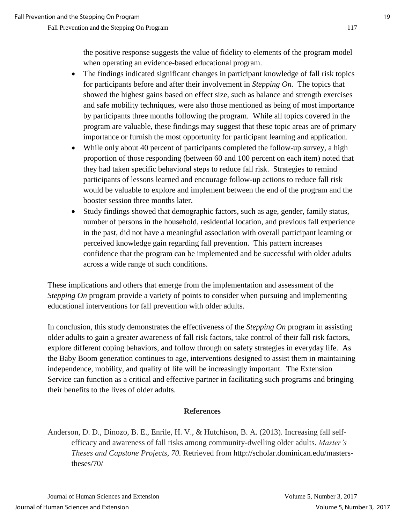the positive response suggests the value of fidelity to elements of the program model when operating an evidence-based educational program.

- The findings indicated significant changes in participant knowledge of fall risk topics for participants before and after their involvement in *Stepping On.* The topics that showed the highest gains based on effect size, such as balance and strength exercises and safe mobility techniques, were also those mentioned as being of most importance by participants three months following the program. While all topics covered in the program are valuable, these findings may suggest that these topic areas are of primary importance or furnish the most opportunity for participant learning and application.
- While only about 40 percent of participants completed the follow-up survey, a high proportion of those responding (between 60 and 100 percent on each item) noted that they had taken specific behavioral steps to reduce fall risk. Strategies to remind participants of lessons learned and encourage follow-up actions to reduce fall risk would be valuable to explore and implement between the end of the program and the booster session three months later.
- Study findings showed that demographic factors, such as age, gender, family status, number of persons in the household, residential location, and previous fall experience in the past, did not have a meaningful association with overall participant learning or perceived knowledge gain regarding fall prevention. This pattern increases confidence that the program can be implemented and be successful with older adults across a wide range of such conditions.

These implications and others that emerge from the implementation and assessment of the *Stepping On* program provide a variety of points to consider when pursuing and implementing educational interventions for fall prevention with older adults.

In conclusion, this study demonstrates the effectiveness of the *Stepping On* program in assisting older adults to gain a greater awareness of fall risk factors, take control of their fall risk factors, explore different coping behaviors, and follow through on safety strategies in everyday life. As the Baby Boom generation continues to age, interventions designed to assist them in maintaining independence, mobility, and quality of life will be increasingly important. The Extension Service can function as a critical and effective partner in facilitating such programs and bringing their benefits to the lives of older adults.

#### **References**

Anderson, D. D., Dinozo, B. E., Enrile, H. V., & Hutchison, B. A. (2013). Increasing fall selfefficacy and awareness of fall risks among community-dwelling older adults. *Master's Theses and Capstone Projects, 70.* Retrieved from http://scholar.dominican.edu/masterstheses/70/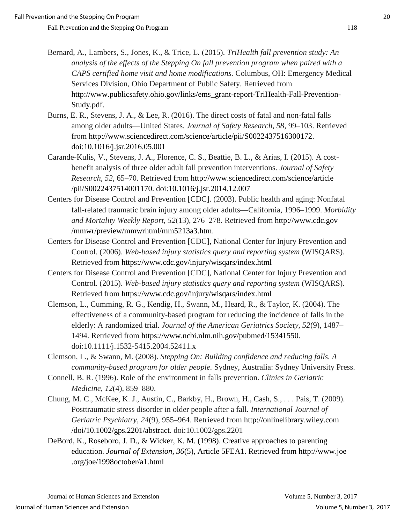- Bernard, A., Lambers, S., Jones, K., & Trice, L. (2015). *TriHealth fall prevention study: An analysis of the effects of the Stepping On fall prevention program when paired with a CAPS certified home visit and home modifications.* Columbus, OH: Emergency Medical Services Division, Ohio Department of Public Safety. Retrieved from http://www.publicsafety.ohio.gov/links/ems\_grant-report-TriHealth-Fall-Prevention-Study.pdf.
- Burns, E. R., Stevens, J. A., & Lee, R. (2016). The direct costs of fatal and non-fatal falls among older adults—United States. *Journal of Safety Research, 58*, 99–103. Retrieved from http://www.sciencedirect.com/science/article/pii/S0022437516300172. doi:10.1016/j.jsr.2016.05.001
- Carande-Kulis, V., Stevens, J. A., Florence, C. S., Beattie, B. L., & Arias, I. (2015). A costbenefit analysis of three older adult fall prevention interventions. *Journal of Safety Research, 52*, 65–70. Retrieved from http://www.sciencedirect.com/science/article /pii/S0022437514001170. doi:10.1016/j.jsr.2014.12.007
- Centers for Disease Control and Prevention [CDC]. (2003). Public health and aging: Nonfatal fall-related traumatic brain injury among older adults—California, 1996–1999. *Morbidity and Mortality Weekly Report, 52*(13), 276–278. Retrieved from http://www.cdc.gov /mmwr/preview/mmwrhtml/mm5213a3.htm.
- Centers for Disease Control and Prevention [CDC], National Center for Injury Prevention and Control. (2006). *Web-based injury statistics query and reporting system* (WISQARS). Retrieved from https://www.cdc.gov/injury/wisqars/index.html
- Centers for Disease Control and Prevention [CDC], National Center for Injury Prevention and Control. (2015). *Web-based injury statistics query and reporting system* (WISQARS). Retrieved from https://www.cdc.gov/injury/wisqars/index.html
- Clemson, L., Cumming, R. G., Kendig, H., Swann, M., Heard, R., & Taylor, K. (2004). The effectiveness of a community-based program for reducing the incidence of falls in the elderly: A randomized trial. *Journal of the American Geriatrics Society, 52*(9), 1487– 1494. Retrieved from https://www.ncbi.nlm.nih.gov/pubmed/15341550. doi:10.1111/j.1532-5415.2004.52411.x
- Clemson, L., & Swann, M. (2008). *Stepping On: Building confidence and reducing falls. A community-based program for older people.* Sydney, Australia: Sydney University Press.
- Connell, B. R. (1996). Role of the environment in falls prevention. *Clinics in Geriatric Medicine*, *12*(4), 859–880.
- Chung, M. C., McKee, K. J., Austin, C., Barkby, H., Brown, H., Cash, S., . . . Pais, T. (2009). Posttraumatic stress disorder in older people after a fall. *International Journal of Geriatric Psychiatry*, *24*(9), 955–964. Retrieved from http://onlinelibrary.wiley.com /doi/10.1002/gps.2201/abstract. doi:10.1002/gps.2201
- DeBord, K., Roseboro, J. D., & Wicker, K. M. (1998). Creative approaches to parenting education. *Journal of Extension, 36*(5), Article 5FEA1. Retrieved from http://www.joe .org/joe/1998october/a1.html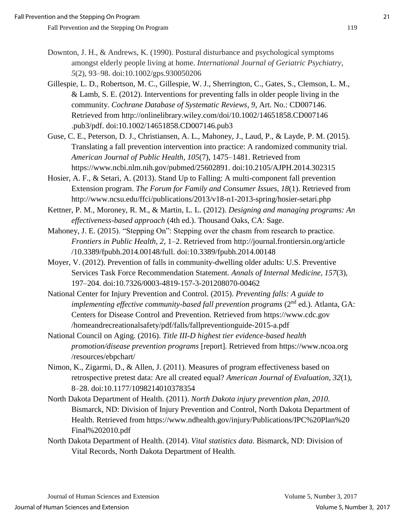- Downton, J. H., & Andrews, K. (1990). Postural disturbance and psychological symptoms amongst elderly people living at home. *International Journal of Geriatric Psychiatry*, *5*(2), 93–98. doi:10.1002/gps.930050206
- Gillespie, L. D., Robertson, M. C., Gillespie, W. J., Sherrington, C., Gates, S., Clemson, L. M., & Lamb, S. E. (2012). Interventions for preventing falls in older people living in the community. *Cochrane Database of Systematic Reviews, 9,* Art. No.: CD007146. Retrieved from http://onlinelibrary.wiley.com/doi/10.1002/14651858.CD007146 .pub3/pdf. doi:10.1002/14651858.CD007146.pub3
- Guse, C. E., Peterson, D. J., Christiansen, A. L., Mahoney, J., Laud, P., & Layde, P. M. (2015). Translating a fall prevention intervention into practice: A randomized community trial. *American Journal of Public Health, 105*(7), 1475–1481. Retrieved from https://www.ncbi.nlm.nih.gov/pubmed/25602891. doi:10.2105/AJPH.2014.302315
- Hosier, A. F., & Setari, A. (2013). Stand Up to Falling: A multi-component fall prevention Extension program. *The Forum for Family and Consumer Issues, 18*(1). Retrieved from http://www.ncsu.edu/ffci/publications/2013/v18-n1-2013-spring/hosier-setari.php
- Kettner, P. M., Moroney, R. M., & Martin, L. L. (2012). *Designing and managing programs: An effectiveness-based approach* (4th ed.). Thousand Oaks, CA: Sage.
- Mahoney, J. E. (2015). "Stepping On": Stepping over the chasm from research to practice. *Frontiers in Public Health, 2*, 1–2. Retrieved from http://journal.frontiersin.org/article /10.3389/fpubh.2014.00148/full. doi:10.3389/fpubh.2014.00148
- Moyer, V. (2012). Prevention of falls in community-dwelling older adults: U.S. Preventive Services Task Force Recommendation Statement. *Annals of Internal Medicine, 157*(3), 197–204. doi:10.7326/0003-4819-157-3-201208070-00462
- National Center for Injury Prevention and Control. (2015). *Preventing falls: A guide to implementing effective community-based fall prevention programs* (2<sup>nd</sup> ed.). Atlanta, GA: Centers for Disease Control and Prevention. Retrieved from https://www.cdc.gov /homeandrecreationalsafety/pdf/falls/fallpreventionguide-2015-a.pdf
- National Council on Aging. (2016). *Title III-D highest tier evidence-based health promotion/disease prevention programs* [report]*.* Retrieved from https://www.ncoa.org /resources/ebpchart/
- Nimon, K., Zigarmi, D., & Allen, J. (2011). Measures of program effectiveness based on retrospective pretest data: Are all created equal? *American Journal of Evaluation, 32*(1), 8–28. doi:10.1177/1098214010378354
- North Dakota Department of Health. (2011). *North Dakota injury prevention plan, 2010.* Bismarck, ND: Division of Injury Prevention and Control, North Dakota Department of Health. Retrieved from https://www.ndhealth.gov/injury/Publications/IPC%20Plan%20 Final%202010.pdf
- North Dakota Department of Health. (2014). *Vital statistics data*. Bismarck, ND: Division of Vital Records, North Dakota Department of Health.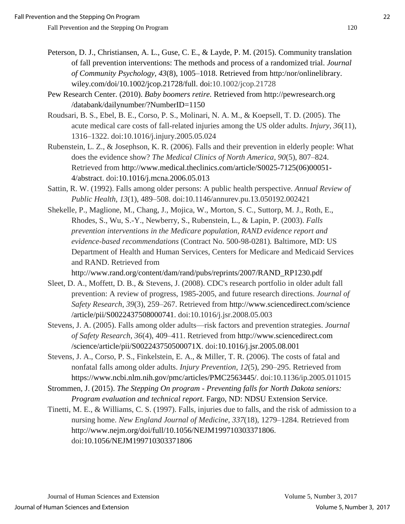Peterson, D. J., Christiansen, A. L., Guse, C. E., & Layde, P. M. (2015). Community translation of fall prevention interventions: The methods and process of a randomized trial. *Journal of Community Psychology, 43*(8), 1005–1018. Retrieved from http:/nor/onlinelibrary. wiley.com/doi/10.1002/jcop.21728/full. doi:10.1002/jcop.21728

Pew Research Center. (2010). *Baby boomers retire.* Retrieved from http://pewresearch.org /databank/dailynumber/?NumberID=1150

Roudsari, B. S., Ebel, B. E., Corso, P. S., Molinari, N. A. M., & Koepsell, T. D. (2005). The acute medical care costs of fall-related injuries among the US older adults. *Injury*, *36*(11), 1316–1322. doi:10.1016/j.injury.2005.05.024

Rubenstein, L. Z., & Josephson, K. R. (2006). Falls and their prevention in elderly people: What does the evidence show? *The Medical Clinics of North America, 90*(5), 807–824. Retrieved from http://www.medical.theclinics.com/article/S0025-7125(06)00051- 4/abstract. doi:10.1016/j.mcna.2006.05.013

- Sattin, R. W. (1992). Falls among older persons: A public health perspective. *Annual Review of Public Health*, *13*(1), 489–508. doi:10.1146/annurev.pu.13.050192.002421
- Shekelle, P., Maglione, M., Chang, J., Mojica, W., Morton, S. C., Suttorp, M. J., Roth, E., Rhodes, S., Wu, S.-Y., Newberry, S., Rubenstein, L., & Lapin, P. (2003). *Falls prevention interventions in the Medicare population, RAND evidence report and evidence-based recommendations* (Contract No. 500-98-0281)*.* Baltimore, MD: US Department of Health and Human Services, Centers for Medicare and Medicaid Services and RAND. Retrieved from

http://www.rand.org/content/dam/rand/pubs/reprints/2007/RAND\_RP1230.pdf

- Sleet, D. A., Moffett, D. B., & Stevens, J. (2008). CDC's research portfolio in older adult fall prevention: A review of progress, 1985-2005, and future research directions. *Journal of Safety Research*, *39*(3), 259–267. Retrieved from http://www.sciencedirect.com/science /article/pii/S0022437508000741. doi:10.1016/j.jsr.2008.05.003
- Stevens, J. A. (2005). Falls among older adults—risk factors and prevention strategies. *Journal of Safety Research*, *36*(4), 409–411. Retrieved from http://www.sciencedirect.com /science/article/pii/S002243750500071X. doi:10.1016/j.jsr.2005.08.001

Stevens, J. A., Corso, P. S., Finkelstein, E. A., & Miller, T. R. (2006). The costs of fatal and nonfatal falls among older adults. *Injury Prevention*, *12*(5), 290–295. Retrieved from https://www.ncbi.nlm.nih.gov/pmc/articles/PMC2563445/. doi:10.1136/ip.2005.011015

- Strommen, J. (2015). *The Stepping On program - Preventing falls for North Dakota seniors: Program evaluation and technical report.* Fargo, ND: NDSU Extension Service.
- Tinetti, M. E., & Williams, C. S. (1997). Falls, injuries due to falls, and the risk of admission to a nursing home. *New England Journal of Medicine*, *337*(18), 1279–1284. Retrieved from http://www.nejm.org/doi/full/10.1056/NEJM199710303371806. doi:10.1056/NEJM199710303371806